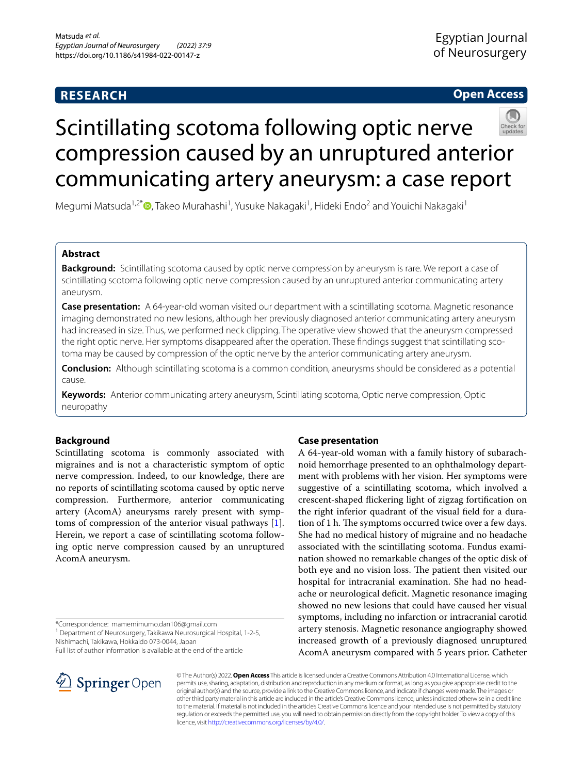## **RESEARCH**

## **Open Access**



# Scintillating scotoma following optic nerve compression caused by an unruptured anterior communicating artery aneurysm: a case report

Megumi Matsuda<sup>1,2[\\*](http://orcid.org/0000-0003-1416-2193)</sup>®, Takeo Murahashi<sup>1</sup>, Yusuke Nakagaki<sup>1</sup>, Hideki Endo<sup>2</sup> and Youichi Nakagaki<sup>1</sup>

## **Abstract**

**Background:** Scintillating scotoma caused by optic nerve compression by aneurysm is rare. We report a case of scintillating scotoma following optic nerve compression caused by an unruptured anterior communicating artery aneurysm.

**Case presentation:** A 64-year-old woman visited our department with a scintillating scotoma. Magnetic resonance imaging demonstrated no new lesions, although her previously diagnosed anterior communicating artery aneurysm had increased in size. Thus, we performed neck clipping. The operative view showed that the aneurysm compressed the right optic nerve. Her symptoms disappeared after the operation. These fndings suggest that scintillating scotoma may be caused by compression of the optic nerve by the anterior communicating artery aneurysm.

**Conclusion:** Although scintillating scotoma is a common condition, aneurysms should be considered as a potential cause.

**Keywords:** Anterior communicating artery aneurysm, Scintillating scotoma, Optic nerve compression, Optic neuropathy

## **Background**

Scintillating scotoma is commonly associated with migraines and is not a characteristic symptom of optic nerve compression. Indeed, to our knowledge, there are no reports of scintillating scotoma caused by optic nerve compression. Furthermore, anterior communicating artery (AcomA) aneurysms rarely present with symptoms of compression of the anterior visual pathways [\[1](#page-2-0)]. Herein, we report a case of scintillating scotoma following optic nerve compression caused by an unruptured AcomA aneurysm.

\*Correspondence: mamemimumo.dan106@gmail.com

<sup>1</sup> Department of Neurosurgery, Takikawa Neurosurgical Hospital, 1-2-5, Nishimachi, Takikawa, Hokkaido 073-0044, Japan

Full list of author information is available at the end of the article

# **Case presentation**

A 64-year-old woman with a family history of subarachnoid hemorrhage presented to an ophthalmology department with problems with her vision. Her symptoms were suggestive of a scintillating scotoma, which involved a crescent-shaped fickering light of zigzag fortifcation on the right inferior quadrant of the visual feld for a duration of 1 h. The symptoms occurred twice over a few days. She had no medical history of migraine and no headache associated with the scintillating scotoma. Fundus examination showed no remarkable changes of the optic disk of both eye and no vision loss. The patient then visited our hospital for intracranial examination. She had no headache or neurological defcit. Magnetic resonance imaging showed no new lesions that could have caused her visual symptoms, including no infarction or intracranial carotid artery stenosis. Magnetic resonance angiography showed increased growth of a previously diagnosed unruptured AcomA aneurysm compared with 5 years prior. Catheter



© The Author(s) 2022. **Open Access** This article is licensed under a Creative Commons Attribution 4.0 International License, which permits use, sharing, adaptation, distribution and reproduction in any medium or format, as long as you give appropriate credit to the original author(s) and the source, provide a link to the Creative Commons licence, and indicate if changes were made. The images or other third party material in this article are included in the article's Creative Commons licence, unless indicated otherwise in a credit line to the material. If material is not included in the article's Creative Commons licence and your intended use is not permitted by statutory regulation or exceeds the permitted use, you will need to obtain permission directly from the copyright holder. To view a copy of this licence, visit [http://creativecommons.org/licenses/by/4.0/.](http://creativecommons.org/licenses/by/4.0/)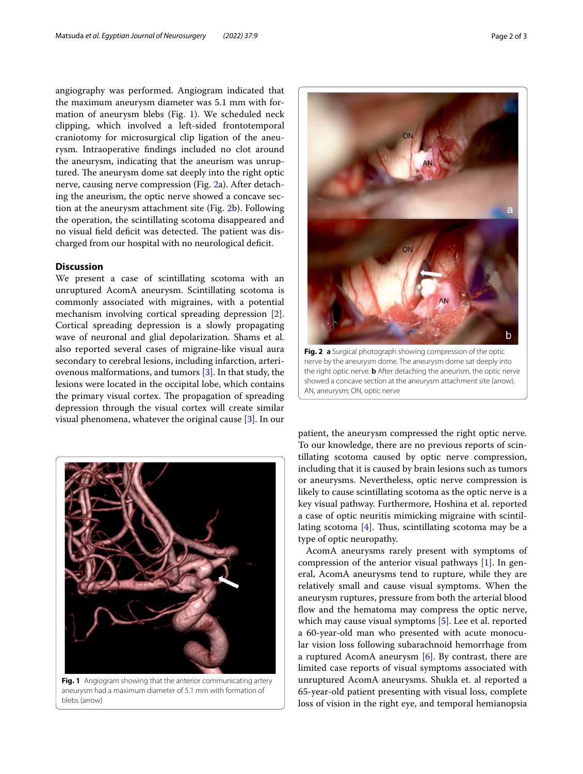angiography was performed. Angiogram indicated that the maximum aneurysm diameter was 5.1 mm with formation of aneurysm blebs (Fig. [1\)](#page-1-0). We scheduled neck clipping, which involved a left-sided frontotemporal craniotomy for microsurgical clip ligation of the aneurysm. Intraoperative fndings included no clot around the aneurysm, indicating that the aneurism was unruptured. The aneurysm dome sat deeply into the right optic nerve, causing nerve compression (Fig. [2](#page-1-1)a). After detaching the aneurism, the optic nerve showed a concave section at the aneurysm attachment site (Fig. [2](#page-1-1)b). Following the operation, the scintillating scotoma disappeared and no visual field deficit was detected. The patient was discharged from our hospital with no neurological defcit.

### **Discussion**

We present a case of scintillating scotoma with an unruptured AcomA aneurysm. Scintillating scotoma is commonly associated with migraines, with a potential mechanism involving cortical spreading depression [\[2](#page-2-1)]. Cortical spreading depression is a slowly propagating wave of neuronal and glial depolarization. Shams et al. also reported several cases of migraine-like visual aura secondary to cerebral lesions, including infarction, arteriovenous malformations, and tumors [[3\]](#page-2-2). In that study, the lesions were located in the occipital lobe, which contains the primary visual cortex. The propagation of spreading depression through the visual cortex will create similar visual phenomena, whatever the original cause [[3](#page-2-2)]. In our

<span id="page-1-0"></span>

**Fig. 1** Angiogram showing that the anterior communicating artery aneurysm had a maximum diameter of 5.1 mm with formation of blebs (arrow)



**Fig. 2 a** Surgical photograph showing compression of the optic nerve by the aneurysm dome. The aneurysm dome sat deeply into the right optic nerve. **b** After detaching the aneurism, the optic nerve showed a concave section at the aneurysm attachment site (arrow). AN, aneurysm; ON, optic nerve

<span id="page-1-1"></span>patient, the aneurysm compressed the right optic nerve. To our knowledge, there are no previous reports of scintillating scotoma caused by optic nerve compression, including that it is caused by brain lesions such as tumors or aneurysms. Nevertheless, optic nerve compression is likely to cause scintillating scotoma as the optic nerve is a key visual pathway. Furthermore, Hoshina et al. reported a case of optic neuritis mimicking migraine with scintillating scotoma  $[4]$ . Thus, scintillating scotoma may be a type of optic neuropathy.

AcomA aneurysms rarely present with symptoms of compression of the anterior visual pathways [[1\]](#page-2-0). In general, AcomA aneurysms tend to rupture, while they are relatively small and cause visual symptoms. When the aneurysm ruptures, pressure from both the arterial blood flow and the hematoma may compress the optic nerve, which may cause visual symptoms [[5\]](#page-2-4). Lee et al. reported a 60-year-old man who presented with acute monocular vision loss following subarachnoid hemorrhage from a ruptured AcomA aneurysm [\[6](#page-2-5)]. By contrast, there are limited case reports of visual symptoms associated with unruptured AcomA aneurysms. Shukla et. al reported a 65-year-old patient presenting with visual loss, complete loss of vision in the right eye, and temporal hemianopsia